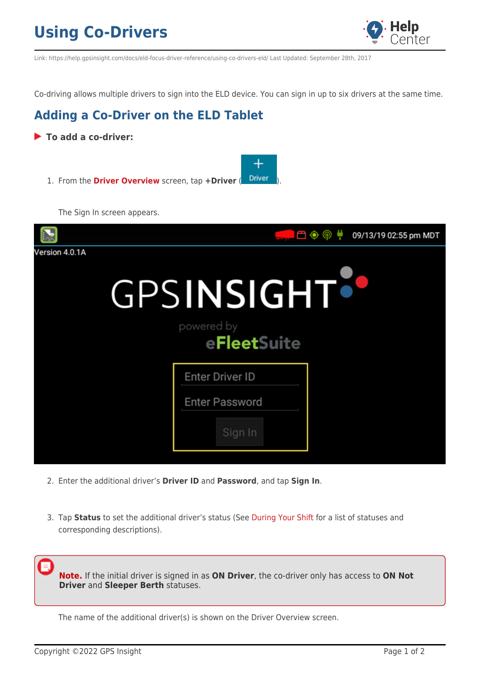## **Using Co-Drivers**



Link: https://help.gpsinsight.com/docs/eld-focus-driver-reference/using-co-drivers-eld/ Last Updated: September 28th, 2017

Co-driving allows multiple drivers to sign into the ELD device. You can sign in up to six drivers at the same time.

### **Adding a Co-Driver on the ELD Tablet**

- **To add a co-driver:**  $\overline{\phantom{a}^+}$ 1. From the **[Driver Overview](https://help.gpsinsight.com/docs/hos/driver-reference/exploring-the-driver-overview-screen-eld/)** screen, tap +Driver (<sup>Driver</sup> The Sign In screen appears. </u> 09/13/19 02:55 pm MDT Version 4.0.1A GPSINSIGHT<sup>:</sup> powered by eFleetSuite **Enter Driver ID Enter Password** Sign In
	- 2. Enter the additional driver's **Driver ID** and **Password**, and tap **Sign In**.
	- 3. Tap **Status** to set the additional driver's status (See [During Your Shift](https://help.gpsinsight.com/docs/hos/driver-reference/during-your-shift-eld/) for a list of statuses and corresponding descriptions).

**Note.** If the initial driver is signed in as **ON Driver**, the co-driver only has access to **ON Not Driver** and **Sleeper Berth** statuses.

The name of the additional driver(s) is shown on the Driver Overview screen.